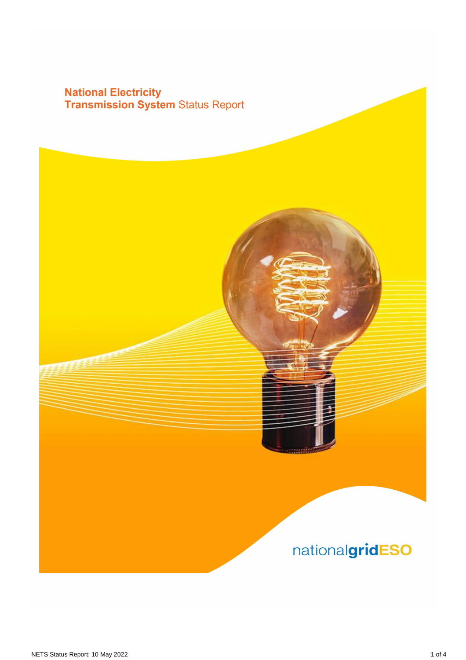# **National Electricity<br>Transmission System Status Report**

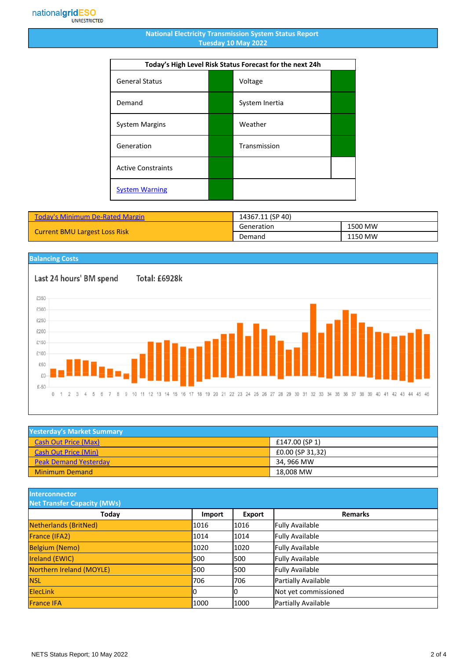#### **National Electricity Transmission System Status Report Tuesday 10 May 2022**

| Today's High Level Risk Status Forecast for the next 24h |  |                |  |
|----------------------------------------------------------|--|----------------|--|
| <b>General Status</b>                                    |  | Voltage        |  |
| Demand                                                   |  | System Inertia |  |
| <b>System Margins</b>                                    |  | Weather        |  |
| Generation                                               |  | Transmission   |  |
| <b>Active Constraints</b>                                |  |                |  |
| <b>System Warning</b>                                    |  |                |  |

| <b>Today's Minimum De-Rated Margin</b> | 14367.11 (SP 40) |         |
|----------------------------------------|------------------|---------|
| <b>Current BMU Largest Loss Risk</b>   | Generation       | 1500 MW |
|                                        | Demand           | 1150 MW |

### **Balancing Costs**

Last 24 hours' BM spend £350

Total: £6928k



| <b>Yesterday's Market Summary</b> |                  |
|-----------------------------------|------------------|
| <b>Cash Out Price (Max)</b>       | £147.00 (SP 1)   |
| <b>Cash Out Price (Min)</b>       | £0.00 (SP 31,32) |
| <b>Peak Demand Yesterday</b>      | 34. 966 MW       |
| <b>Minimum Demand</b>             | 18.008 MW        |

**Interconnector**

| <b>Net Transfer Capacity (MWs)</b> |        |               |                        |
|------------------------------------|--------|---------------|------------------------|
| Today                              | Import | <b>Export</b> | <b>Remarks</b>         |
| Netherlands (BritNed)              | 1016   | 1016          | <b>Fully Available</b> |
| <b>France (IFA2)</b>               | 1014   | 1014          | <b>Fully Available</b> |
| <b>Belgium (Nemo)</b>              | 1020   | 1020          | <b>Fully Available</b> |
| <b>Ireland (EWIC)</b>              | 500    | 1500          | <b>Fully Available</b> |
| Northern Ireland (MOYLE)           | l500   | 1500          | <b>Fully Available</b> |
| <b>NSL</b>                         | 706    | 706           | Partially Available    |
| <b>ElecLink</b>                    | 10     | 0             | Not yet commissioned   |
| <b>France IFA</b>                  | 1000   | 1000          | Partially Available    |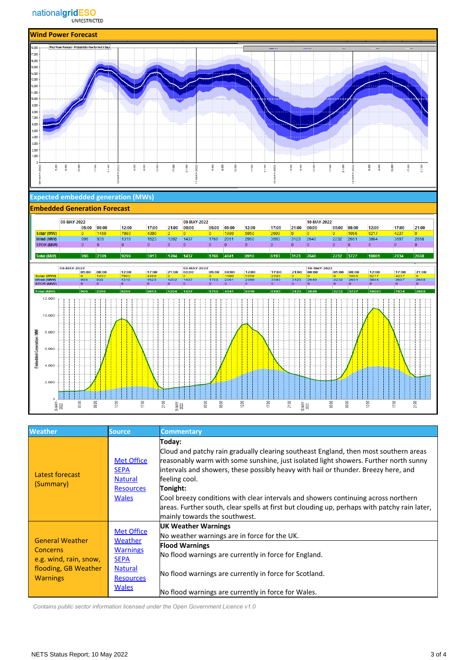#### nationalgridESO **UNRESTRICTED**



| <b>Weather</b>                                                                                                 | <b>Source</b>                                                                                                        | <b>Commentary</b>                                                                                                                                                                                                                                                                                                                                                                                                                                                                                                                |
|----------------------------------------------------------------------------------------------------------------|----------------------------------------------------------------------------------------------------------------------|----------------------------------------------------------------------------------------------------------------------------------------------------------------------------------------------------------------------------------------------------------------------------------------------------------------------------------------------------------------------------------------------------------------------------------------------------------------------------------------------------------------------------------|
| Latest forecast<br>(Summary)                                                                                   | <b>Met Office</b><br><b>SEPA</b><br><b>Natural</b><br><b>Resources</b><br><b>Wales</b>                               | Today:<br>Cloud and patchy rain gradually clearing southeast England, then most southern areas<br>reasonably warm with some sunshine, just isolated light showers. Further north sunny<br>intervals and showers, these possibly heavy with hail or thunder. Breezy here, and<br>feeling cool.<br>Tonight:<br>Cool breezy conditions with clear intervals and showers continuing across northern<br>areas. Further south, clear spells at first but clouding up, perhaps with patchy rain later,<br>mainly towards the southwest. |
| <b>General Weather</b><br><b>Concerns</b><br>e.g. wind, rain, snow,<br>flooding, GB Weather<br><b>Warnings</b> | <b>Met Office</b><br>Weather<br><b>Warnings</b><br><b>SEPA</b><br><b>Natural</b><br><b>Resources</b><br><b>Wales</b> | UK Weather Warnings<br>No weather warnings are in force for the UK.<br><b>Flood Warnings</b><br>No flood warnings are currently in force for England.<br>No flood warnings are currently in force for Scotland.<br>No flood warnings are currently in force for Wales.                                                                                                                                                                                                                                                           |

 *Contains public sector information licensed under the Open Government Licence v1.0*